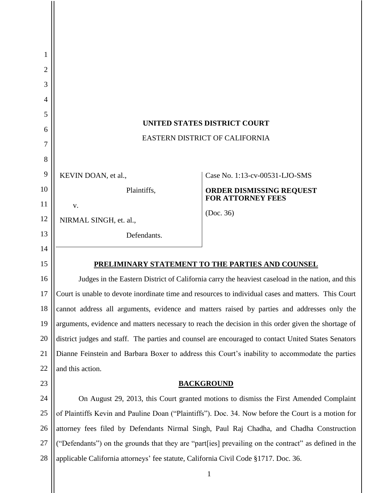| 1              |                                                                                                      |                                                      |
|----------------|------------------------------------------------------------------------------------------------------|------------------------------------------------------|
| 2              |                                                                                                      |                                                      |
| 3              |                                                                                                      |                                                      |
| $\overline{4}$ |                                                                                                      |                                                      |
| 5              | UNITED STATES DISTRICT COURT                                                                         |                                                      |
| 6              | EASTERN DISTRICT OF CALIFORNIA                                                                       |                                                      |
| 7              |                                                                                                      |                                                      |
| 8              |                                                                                                      |                                                      |
| 9              | KEVIN DOAN, et al.,                                                                                  | Case No. 1:13-cv-00531-LJO-SMS                       |
| 10             | Plaintiffs,                                                                                          | ORDER DISMISSING REQUEST<br><b>FOR ATTORNEY FEES</b> |
| 11             | V.                                                                                                   | (Doc. 36)                                            |
| 12             | NIRMAL SINGH, et. al.,                                                                               |                                                      |
| 13             | Defendants.                                                                                          |                                                      |
| 14             |                                                                                                      |                                                      |
| 15             | PRELIMINARY STATEMENT TO THE PARTIES AND COUNSEL                                                     |                                                      |
| 16             | Judges in the Eastern District of California carry the heaviest caseload in the nation, and this     |                                                      |
| 17             | Court is unable to devote inordinate time and resources to individual cases and matters. This Court  |                                                      |
| 18             | cannot address all arguments, evidence and matters raised by parties and addresses only the          |                                                      |
| 19             | arguments, evidence and matters necessary to reach the decision in this order given the shortage of  |                                                      |
| 20             | district judges and staff. The parties and counsel are encouraged to contact United States Senators  |                                                      |
| 21             | Dianne Feinstein and Barbara Boxer to address this Court's inability to accommodate the parties      |                                                      |
| 22             | and this action.                                                                                     |                                                      |
| 23             | <b>BACKGROUND</b>                                                                                    |                                                      |
| 24             | On August 29, 2013, this Court granted motions to dismiss the First Amended Complaint                |                                                      |
| 25             | of Plaintiffs Kevin and Pauline Doan ("Plaintiffs"). Doc. 34. Now before the Court is a motion for   |                                                      |
| 26             | attorney fees filed by Defendants Nirmal Singh, Paul Raj Chadha, and Chadha Construction             |                                                      |
| 27             | ("Defendants") on the grounds that they are "part[ies] prevailing on the contract" as defined in the |                                                      |
| 28             | applicable California attorneys' fee statute, California Civil Code §1717. Doc. 36.                  |                                                      |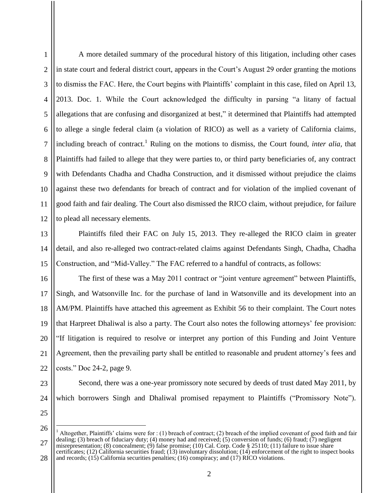1

 $\mathfrak{D}$ 

A more detailed summary of the procedural history of this litigation, including other cases in state court and federal district court, appears in the Court's August 29 order granting the motions to dismiss the FAC. Here, the Court begins with Plaintiffs' complaint in this case, filed on April 13, 2013. Doc. 1. While the Court acknowledged the difficulty in parsing "a litany of factual allegations that are confusing and disorganized at best," it determined that Plaintiffs had attempted to allege a single federal claim (a violation of RICO) as well as a variety of California claims, including breach of contract. <sup>1</sup> Ruling on the motions to dismiss, the Court found, *inter alia,* that Plaintiffs had failed to allege that they were parties to, or third party beneficiaries of, any contract with Defendants Chadha and Chadha Construction, and it dismissed without prejudice the claims against these two defendants for breach of contract and for violation of the implied covenant of good faith and fair dealing. The Court also dismissed the RICO claim, without prejudice, for failure to plead all necessary elements.

Plaintiffs filed their FAC on July 15, 2013. They re-alleged the RICO claim in greater detail, and also re-alleged two contract-related claims against Defendants Singh, Chadha, Chadha Construction, and "Mid-Valley." The FAC referred to a handful of contracts, as follows:

20 21 22 The first of these was a May 2011 contract or "joint venture agreement" between Plaintiffs, Singh, and Watsonville Inc. for the purchase of land in Watsonville and its development into an AM/PM. Plaintiffs have attached this agreement as Exhibit 56 to their complaint. The Court notes that Harpreet Dhaliwal is also a party. The Court also notes the following attorneys' fee provision: "If litigation is required to resolve or interpret any portion of this Funding and Joint Venture Agreement, then the prevailing party shall be entitled to reasonable and prudent attorney's fees and costs." Doc 24-2, page 9.

- 23
- 24
- 25

 $\overline{a}$ 

which borrowers Singh and Dhaliwal promised repayment to Plaintiffs ("Promissory Note").

Second, there was a one-year promissory note secured by deeds of trust dated May 2011, by

<sup>26</sup> 27 <sup>1</sup> Altogether, Plaintiffs' claims were for : (1) breach of contract; (2) breach of the implied covenant of good faith and fair dealing; (3) breach of fiduciary duty; (4) money had and received; (5) conversion of funds; (6) fraud; (7) negligent misrepresentation; (8) concealment; (9) false promise; (10) Cal. Corp. Code § 25110; (11) failure to issue share certificates; (12) California securities fraud; (13) involuntary dissolution; (14) enforcement of the right to inspect books

<sup>28</sup> and records; (15) California securities penalties; (16) conspiracy; and (17) RICO violations.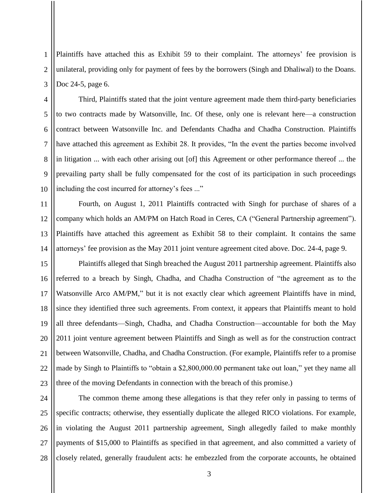2 3 Plaintiffs have attached this as Exhibit 59 to their complaint. The attorneys' fee provision is unilateral, providing only for payment of fees by the borrowers (Singh and Dhaliwal) to the Doans. Doc 24-5, page 6.

1

4

5

6

7

8

9

10

Third, Plaintiffs stated that the joint venture agreement made them third-party beneficiaries to two contracts made by Watsonville, Inc. Of these, only one is relevant here—a construction contract between Watsonville Inc. and Defendants Chadha and Chadha Construction. Plaintiffs have attached this agreement as Exhibit 28. It provides, "In the event the parties become involved in litigation ... with each other arising out [of] this Agreement or other performance thereof ... the prevailing party shall be fully compensated for the cost of its participation in such proceedings including the cost incurred for attorney's fees ..."

11 12 13 14 Fourth, on August 1, 2011 Plaintiffs contracted with Singh for purchase of shares of a company which holds an AM/PM on Hatch Road in Ceres, CA ("General Partnership agreement"). Plaintiffs have attached this agreement as Exhibit 58 to their complaint. It contains the same attorneys' fee provision as the May 2011 joint venture agreement cited above. Doc. 24-4, page 9.

15 16 17 18 19 20 21 22 23 Plaintiffs alleged that Singh breached the August 2011 partnership agreement. Plaintiffs also referred to a breach by Singh, Chadha, and Chadha Construction of "the agreement as to the Watsonville Arco AM/PM," but it is not exactly clear which agreement Plaintiffs have in mind, since they identified three such agreements. From context, it appears that Plaintiffs meant to hold all three defendants—Singh, Chadha, and Chadha Construction—accountable for both the May 2011 joint venture agreement between Plaintiffs and Singh as well as for the construction contract between Watsonville, Chadha, and Chadha Construction. (For example, Plaintiffs refer to a promise made by Singh to Plaintiffs to "obtain a \$2,800,000.00 permanent take out loan," yet they name all three of the moving Defendants in connection with the breach of this promise.)

24 25 26 27 28 The common theme among these allegations is that they refer only in passing to terms of specific contracts; otherwise, they essentially duplicate the alleged RICO violations. For example, in violating the August 2011 partnership agreement, Singh allegedly failed to make monthly payments of \$15,000 to Plaintiffs as specified in that agreement, and also committed a variety of closely related, generally fraudulent acts: he embezzled from the corporate accounts, he obtained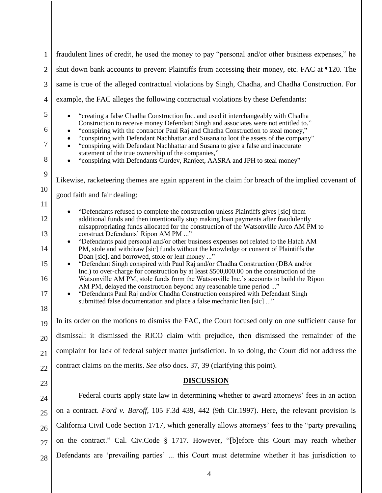| 1              | fraudulent lines of credit, he used the money to pay "personal and/or other business expenses," he                                                                                                                                                                                                                |  |
|----------------|-------------------------------------------------------------------------------------------------------------------------------------------------------------------------------------------------------------------------------------------------------------------------------------------------------------------|--|
| $\overline{2}$ | shut down bank accounts to prevent Plaintiffs from accessing their money, etc. FAC at 120. The                                                                                                                                                                                                                    |  |
| 3              | same is true of the alleged contractual violations by Singh, Chadha, and Chadha Construction. For                                                                                                                                                                                                                 |  |
| $\overline{4}$ | example, the FAC alleges the following contractual violations by these Defendants:                                                                                                                                                                                                                                |  |
| 5<br>6         | "creating a false Chadha Construction Inc. and used it interchangeably with Chadha<br>Construction to receive money Defendant Singh and associates were not entitled to."                                                                                                                                         |  |
| 7              | "conspiring with the contractor Paul Raj and Chadha Construction to steal money,"<br>"conspiring with Defendant Nachhattar and Susana to loot the assets of the company"<br>"conspiring with Defendant Nachhattar and Susana to give a false and inaccurate<br>statement of the true ownership of the companies," |  |
| 8              | "conspiring with Defendants Gurdev, Ranjeet, AASRA and JPH to steal money"                                                                                                                                                                                                                                        |  |
| 9              | Likewise, racketeering themes are again apparent in the claim for breach of the implied covenant of                                                                                                                                                                                                               |  |
| 10             | good faith and fair dealing:                                                                                                                                                                                                                                                                                      |  |
| 11             | "Defendants refused to complete the construction unless Plaintiffs gives [sic] them                                                                                                                                                                                                                               |  |
| 12<br>13       | additional funds and then intentionally stop making loan payments after fraudulently<br>misappropriating funds allocated for the construction of the Watsonville Arco AM PM to<br>construct Defendants' Ripon AM PM "                                                                                             |  |
| 14             | "Defendants paid personal and/or other business expenses not related to the Hatch AM<br>PM, stole and withdraw [sic] funds without the knowledge or consent of Plaintiffs the                                                                                                                                     |  |
| 15             | Doan [sic], and borrowed, stole or lent money "<br>"Defendant Singh conspired with Paul Raj and/or Chadha Construction (DBA and/or<br>$\bullet$                                                                                                                                                                   |  |
| 16             | Inc.) to over-charge for construction by at least \$500,000.00 on the construction of the<br>Watsonville AM PM, stole funds from the Watsonville Inc.'s accounts to build the Ripon                                                                                                                               |  |
| 17             | AM PM, delayed the construction beyond any reasonable time period "<br>"Defendants Paul Raj and/or Chadha Construction conspired with Defendant Singh<br>$\bullet$<br>submitted false documentation and place a false mechanic lien [sic] "                                                                       |  |
| 18             |                                                                                                                                                                                                                                                                                                                   |  |
| 19             | In its order on the motions to dismiss the FAC, the Court focused only on one sufficient cause for                                                                                                                                                                                                                |  |
| 20             | dismissal: it dismissed the RICO claim with prejudice, then dismissed the remainder of the                                                                                                                                                                                                                        |  |
| 21             | complaint for lack of federal subject matter jurisdiction. In so doing, the Court did not address the                                                                                                                                                                                                             |  |
| 22             | contract claims on the merits. See also docs. 37, 39 (clarifying this point).                                                                                                                                                                                                                                     |  |
| 23             | <b>DISCUSSION</b>                                                                                                                                                                                                                                                                                                 |  |
| 24             | Federal courts apply state law in determining whether to award attorneys' fees in an action                                                                                                                                                                                                                       |  |
| 25             | on a contract. Ford v. Baroff, 105 F.3d 439, 442 (9th Cir.1997). Here, the relevant provision is                                                                                                                                                                                                                  |  |
| 26             | California Civil Code Section 1717, which generally allows attorneys' fees to the "party prevailing                                                                                                                                                                                                               |  |
| 27             | on the contract." Cal. Civ.Code § 1717. However, "[b]efore this Court may reach whether                                                                                                                                                                                                                           |  |
| 28             | Defendants are 'prevailing parties'  this Court must determine whether it has jurisdiction to                                                                                                                                                                                                                     |  |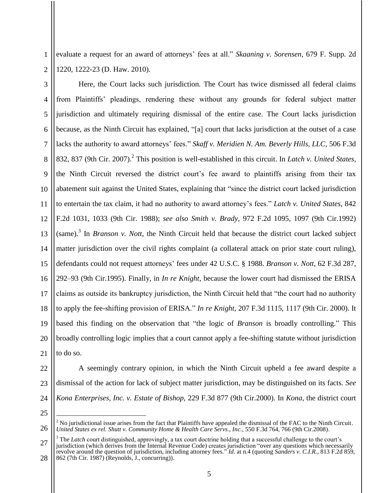evaluate a request for an award of attorneys' fees at all." *Skaaning v. Sorensen*, 679 F. Supp. 2d 1220, 1222-23 (D. Haw. 2010).

3 4 5 6 7 8 9 10 11 12 13 14 15 16 17 18 19 20 21 Here, the Court lacks such jurisdiction. The Court has twice dismissed all federal claims from Plaintiffs' pleadings, rendering these without any grounds for federal subject matter jurisdiction and ultimately requiring dismissal of the entire case. The Court lacks jurisdiction because, as the Ninth Circuit has explained, "[a] court that lacks jurisdiction at the outset of a case lacks the authority to award attorneys' fees." *Skaff v. Meridien N. Am. Beverly Hills, LLC*, 506 F.3d 832, 837 (9th Cir. 2007).<sup>2</sup> This position is well-established in this circuit. In *Latch v. United States*, the Ninth Circuit reversed the district court's fee award to plaintiffs arising from their tax abatement suit against the United States, explaining that "since the district court lacked jurisdiction to entertain the tax claim, it had no authority to award attorney's fees." *Latch v. United States*, 842 F.2d 1031, 1033 (9th Cir. 1988); *see also Smith v. Brady,* 972 F.2d 1095, 1097 (9th Cir.1992) (same).<sup>3</sup> In *Branson v. Nott*, the Ninth Circuit held that because the district court lacked subject matter jurisdiction over the civil rights complaint (a collateral attack on prior state court ruling), defendants could not request attorneys' fees under 42 U.S.C. § 1988. *Branson v. Nott,* 62 F.3d 287, 292–93 (9th Cir.1995). Finally, in *In re Knight*, because the lower court had dismissed the ERISA claims as outside its bankruptcy jurisdiction, the Ninth Circuit held that "the court had no authority to apply the fee-shifting provision of ERISA." *In re Knight*, 207 F.3d 1115, 1117 (9th Cir. 2000). It based this finding on the observation that "the logic of *Branson* is broadly controlling." This broadly controlling logic implies that a court cannot apply a fee-shifting statute without jurisdiction to do so.

1

2

- 22 23 24 A seemingly contrary opinion, in which the Ninth Circuit upheld a fee award despite a dismissal of the action for lack of subject matter jurisdiction, may be distinguished on its facts. *See Kona Enterprises, Inc. v. Estate of Bishop,* 229 F.3d 877 (9th Cir.2000). In *Kona*, the district court
- 25

 $\overline{a}$ 

26

<sup>&</sup>lt;sup>2</sup> No jurisdictional issue arises from the fact that Plaintiffs have appealed the dismissal of the FAC to the Ninth Circuit. *United States ex rel. Shutt v. Community Home & Health Care Servs., Inc.,* 550 F.3d 764, 766 (9th Cir.2008).

<sup>27</sup> 28 The *Latch* court distinguished, approvingly, a tax court doctrine holding that a successful challenge to the court's jurisdiction (which derives from the Internal Revenue Code) creates jurisdiction "over any questions which necessarily revolve around the question of jurisdiction, including attorney fees." *Id*. at n.4 (quoting *Sanders v. C.I.R.*, 813 F.2d 859, 862 (7th Cir. 1987) (Reynolds, J., concurring)).